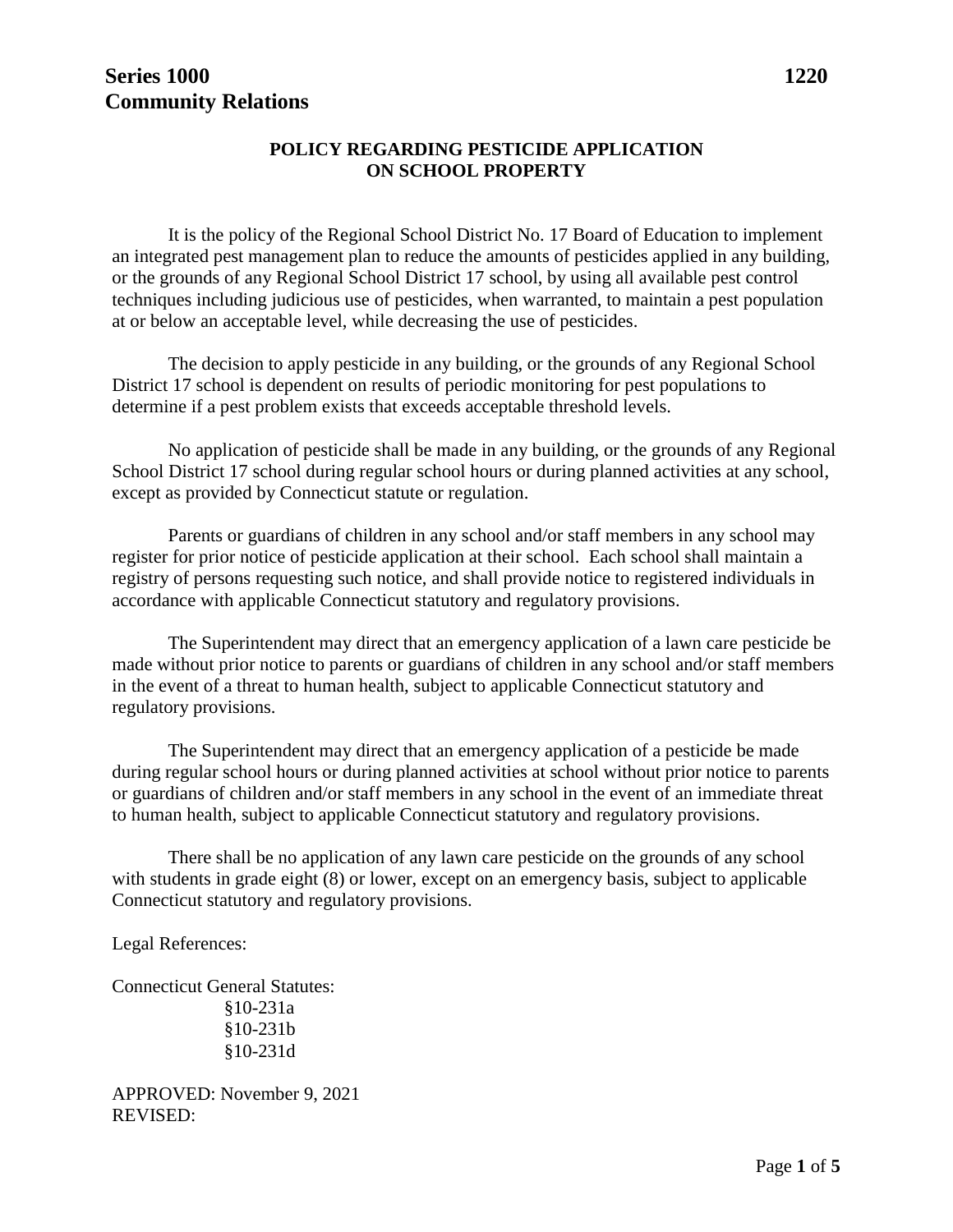## **POLICY REGARDING PESTICIDE APPLICATION ON SCHOOL PROPERTY**

It is the policy of the Regional School District No. 17 Board of Education to implement an integrated pest management plan to reduce the amounts of pesticides applied in any building, or the grounds of any Regional School District 17 school, by using all available pest control techniques including judicious use of pesticides, when warranted, to maintain a pest population at or below an acceptable level, while decreasing the use of pesticides.

The decision to apply pesticide in any building, or the grounds of any Regional School District 17 school is dependent on results of periodic monitoring for pest populations to determine if a pest problem exists that exceeds acceptable threshold levels.

No application of pesticide shall be made in any building, or the grounds of any Regional School District 17 school during regular school hours or during planned activities at any school, except as provided by Connecticut statute or regulation.

Parents or guardians of children in any school and/or staff members in any school may register for prior notice of pesticide application at their school. Each school shall maintain a registry of persons requesting such notice, and shall provide notice to registered individuals in accordance with applicable Connecticut statutory and regulatory provisions.

The Superintendent may direct that an emergency application of a lawn care pesticide be made without prior notice to parents or guardians of children in any school and/or staff members in the event of a threat to human health, subject to applicable Connecticut statutory and regulatory provisions.

The Superintendent may direct that an emergency application of a pesticide be made during regular school hours or during planned activities at school without prior notice to parents or guardians of children and/or staff members in any school in the event of an immediate threat to human health, subject to applicable Connecticut statutory and regulatory provisions.

There shall be no application of any lawn care pesticide on the grounds of any school with students in grade eight (8) or lower, except on an emergency basis, subject to applicable Connecticut statutory and regulatory provisions.

Legal References:

Connecticut General Statutes: §10-231a §10-231b §10-231d

APPROVED: November 9, 2021 REVISED: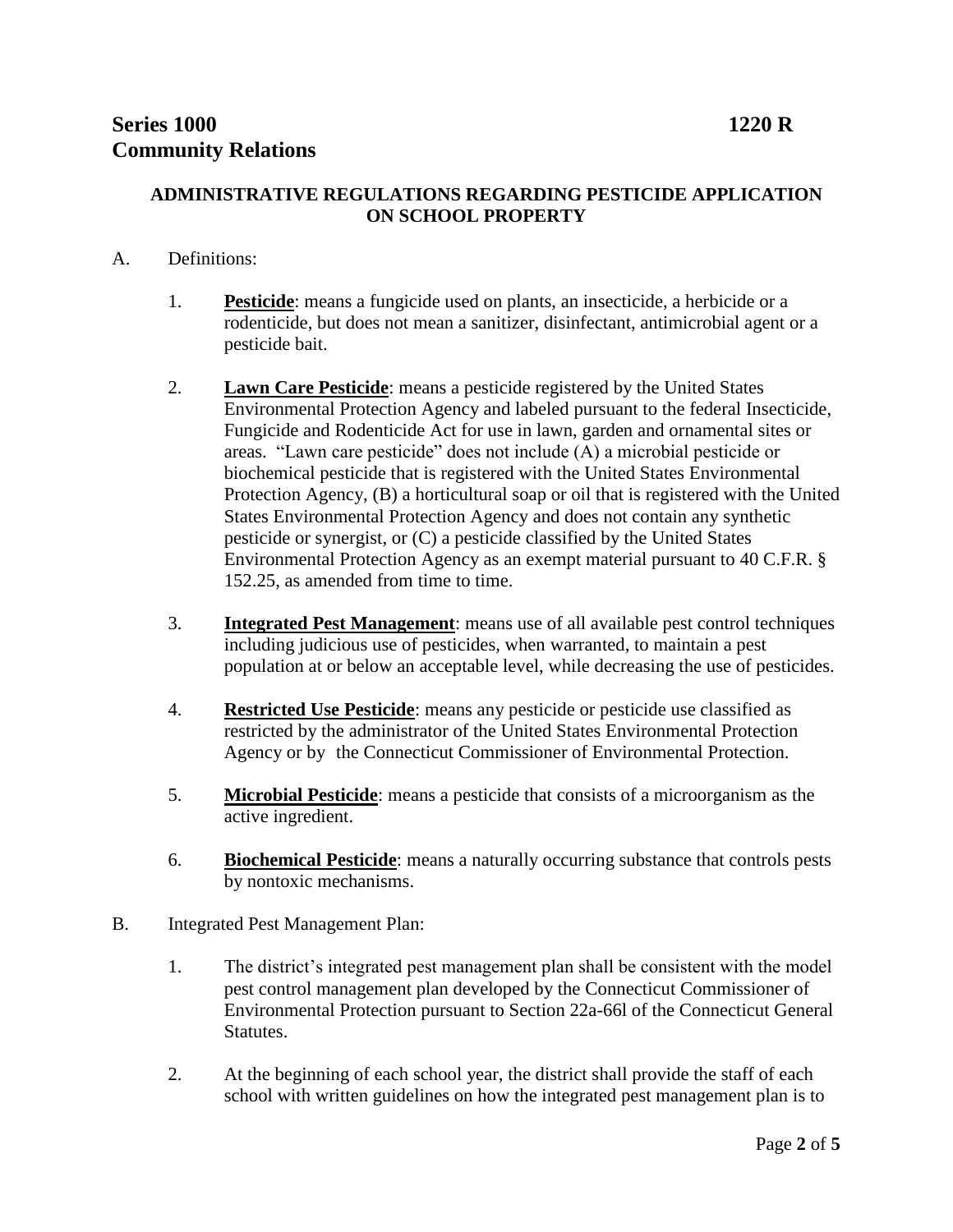## **ADMINISTRATIVE REGULATIONS REGARDING PESTICIDE APPLICATION ON SCHOOL PROPERTY**

## A. Definitions:

- 1. **Pesticide**: means a fungicide used on plants, an insecticide, a herbicide or a rodenticide, but does not mean a sanitizer, disinfectant, antimicrobial agent or a pesticide bait.
- 2. **Lawn Care Pesticide**: means a pesticide registered by the United States Environmental Protection Agency and labeled pursuant to the federal Insecticide, Fungicide and Rodenticide Act for use in lawn, garden and ornamental sites or areas. "Lawn care pesticide" does not include (A) a microbial pesticide or biochemical pesticide that is registered with the United States Environmental Protection Agency, (B) a horticultural soap or oil that is registered with the United States Environmental Protection Agency and does not contain any synthetic pesticide or synergist, or (C) a pesticide classified by the United States Environmental Protection Agency as an exempt material pursuant to 40 C.F.R. § 152.25, as amended from time to time.
- 3. **Integrated Pest Management**: means use of all available pest control techniques including judicious use of pesticides, when warranted, to maintain a pest population at or below an acceptable level, while decreasing the use of pesticides.
- 4. **Restricted Use Pesticide**: means any pesticide or pesticide use classified as restricted by the administrator of the United States Environmental Protection Agency or by the Connecticut Commissioner of Environmental Protection.
- 5. **Microbial Pesticide**: means a pesticide that consists of a microorganism as the active ingredient.
- 6. **Biochemical Pesticide**: means a naturally occurring substance that controls pests by nontoxic mechanisms.
- B. Integrated Pest Management Plan:
	- 1. The district's integrated pest management plan shall be consistent with the model pest control management plan developed by the Connecticut Commissioner of Environmental Protection pursuant to Section 22a-66l of the Connecticut General **Statutes**.
	- 2. At the beginning of each school year, the district shall provide the staff of each school with written guidelines on how the integrated pest management plan is to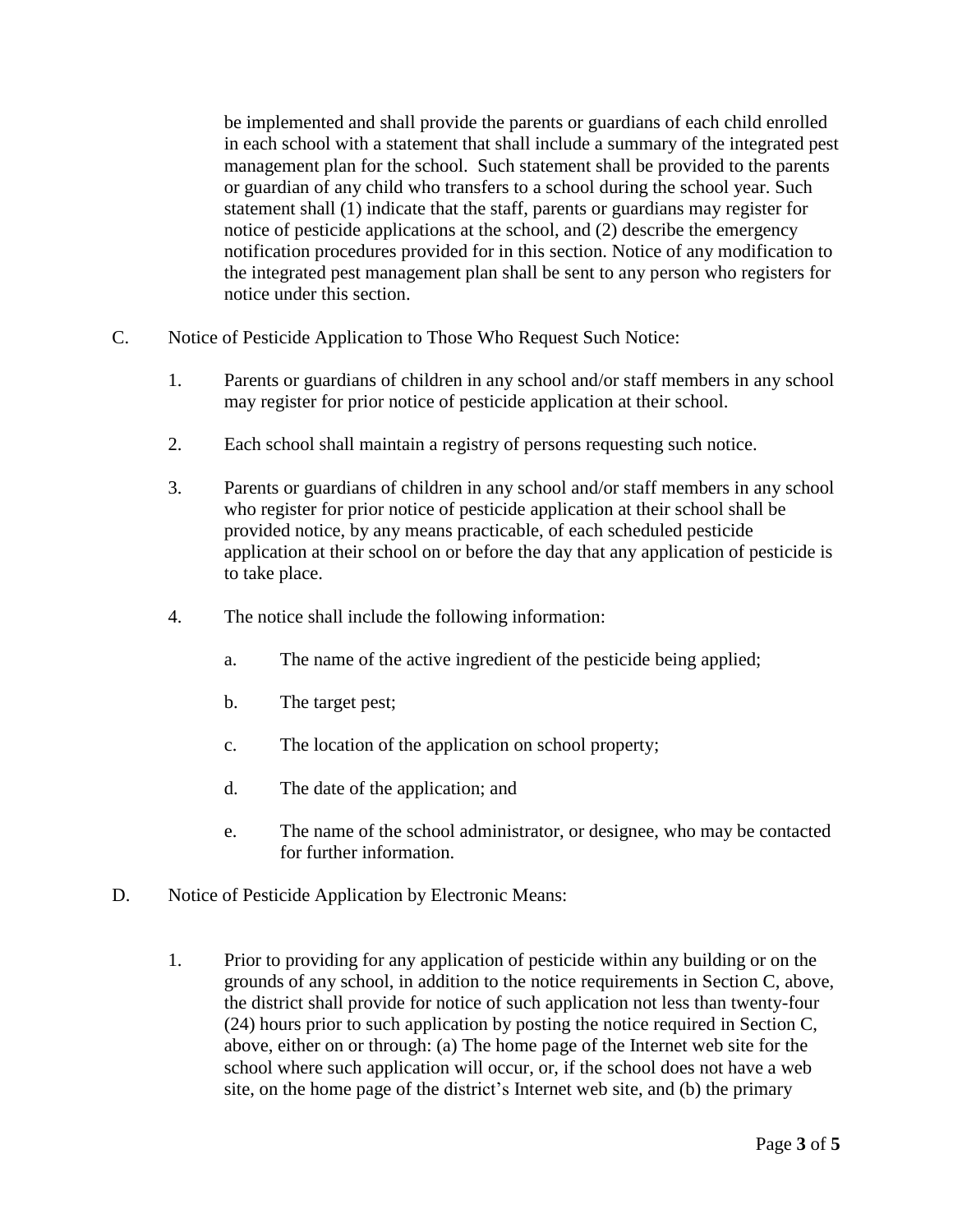be implemented and shall provide the parents or guardians of each child enrolled in each school with a statement that shall include a summary of the integrated pest management plan for the school. Such statement shall be provided to the parents or guardian of any child who transfers to a school during the school year. Such statement shall (1) indicate that the staff, parents or guardians may register for notice of pesticide applications at the school, and (2) describe the emergency notification procedures provided for in this section. Notice of any modification to the integrated pest management plan shall be sent to any person who registers for notice under this section.

- C. Notice of Pesticide Application to Those Who Request Such Notice:
	- 1. Parents or guardians of children in any school and/or staff members in any school may register for prior notice of pesticide application at their school.
	- 2. Each school shall maintain a registry of persons requesting such notice.
	- 3. Parents or guardians of children in any school and/or staff members in any school who register for prior notice of pesticide application at their school shall be provided notice, by any means practicable, of each scheduled pesticide application at their school on or before the day that any application of pesticide is to take place.
	- 4. The notice shall include the following information:
		- a. The name of the active ingredient of the pesticide being applied;
		- b. The target pest;
		- c. The location of the application on school property;
		- d. The date of the application; and
		- e. The name of the school administrator, or designee, who may be contacted for further information.
- D. Notice of Pesticide Application by Electronic Means:
	- 1. Prior to providing for any application of pesticide within any building or on the grounds of any school, in addition to the notice requirements in Section C, above, the district shall provide for notice of such application not less than twenty-four (24) hours prior to such application by posting the notice required in Section C, above, either on or through: (a) The home page of the Internet web site for the school where such application will occur, or, if the school does not have a web site, on the home page of the district's Internet web site, and (b) the primary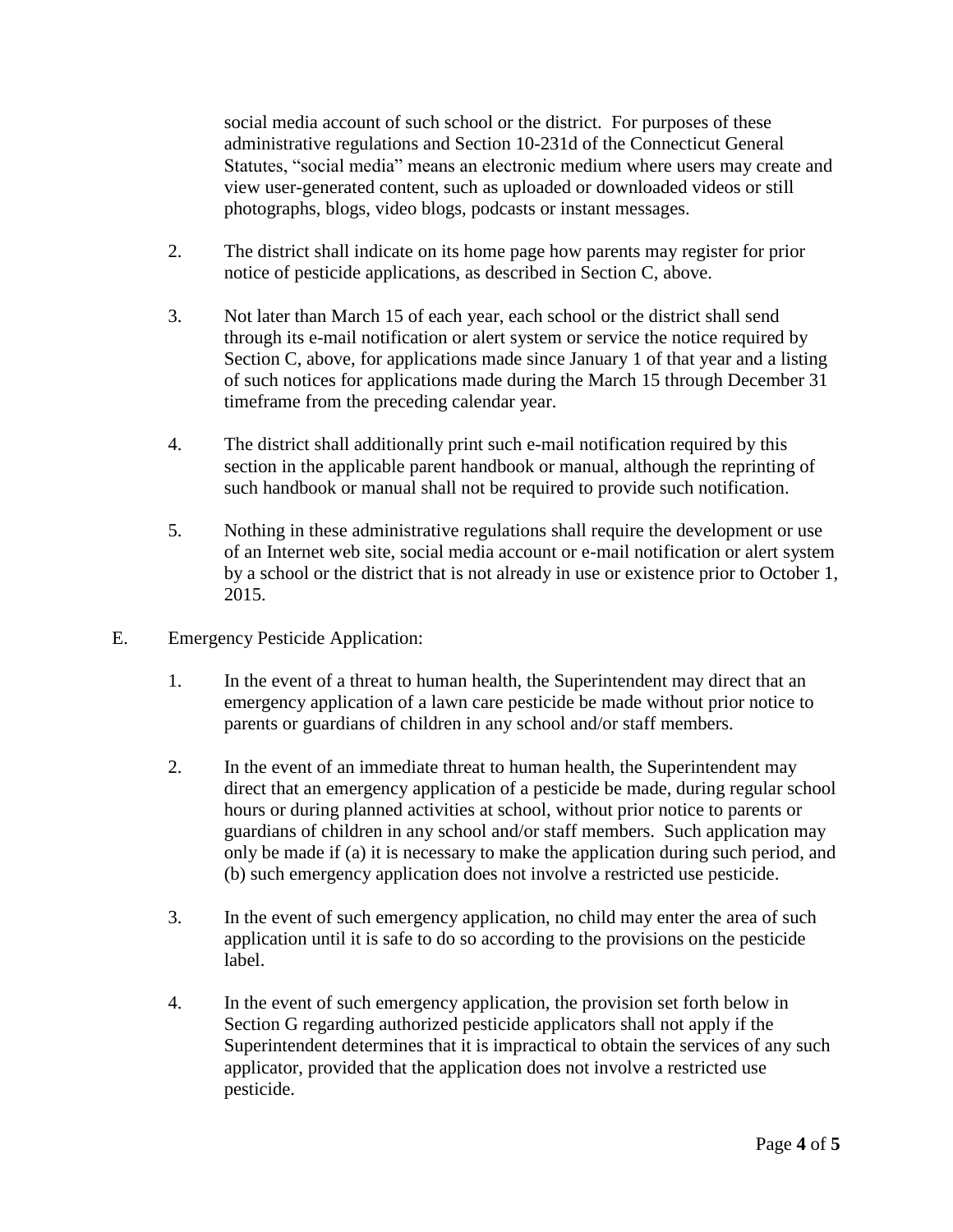social media account of such school or the district. For purposes of these administrative regulations and Section 10-231d of the Connecticut General Statutes, "social media" means an electronic medium where users may create and view user-generated content, such as uploaded or downloaded videos or still photographs, blogs, video blogs, podcasts or instant messages.

- 2. The district shall indicate on its home page how parents may register for prior notice of pesticide applications, as described in Section C, above.
- 3. Not later than March 15 of each year, each school or the district shall send through its e-mail notification or alert system or service the notice required by Section C, above, for applications made since January 1 of that year and a listing of such notices for applications made during the March 15 through December 31 timeframe from the preceding calendar year.
- 4. The district shall additionally print such e-mail notification required by this section in the applicable parent handbook or manual, although the reprinting of such handbook or manual shall not be required to provide such notification.
- 5. Nothing in these administrative regulations shall require the development or use of an Internet web site, social media account or e-mail notification or alert system by a school or the district that is not already in use or existence prior to October 1, 2015.
- E. Emergency Pesticide Application:
	- 1. In the event of a threat to human health, the Superintendent may direct that an emergency application of a lawn care pesticide be made without prior notice to parents or guardians of children in any school and/or staff members.
	- 2. In the event of an immediate threat to human health, the Superintendent may direct that an emergency application of a pesticide be made, during regular school hours or during planned activities at school, without prior notice to parents or guardians of children in any school and/or staff members. Such application may only be made if (a) it is necessary to make the application during such period, and (b) such emergency application does not involve a restricted use pesticide.
	- 3. In the event of such emergency application, no child may enter the area of such application until it is safe to do so according to the provisions on the pesticide label.
	- 4. In the event of such emergency application, the provision set forth below in Section G regarding authorized pesticide applicators shall not apply if the Superintendent determines that it is impractical to obtain the services of any such applicator, provided that the application does not involve a restricted use pesticide.